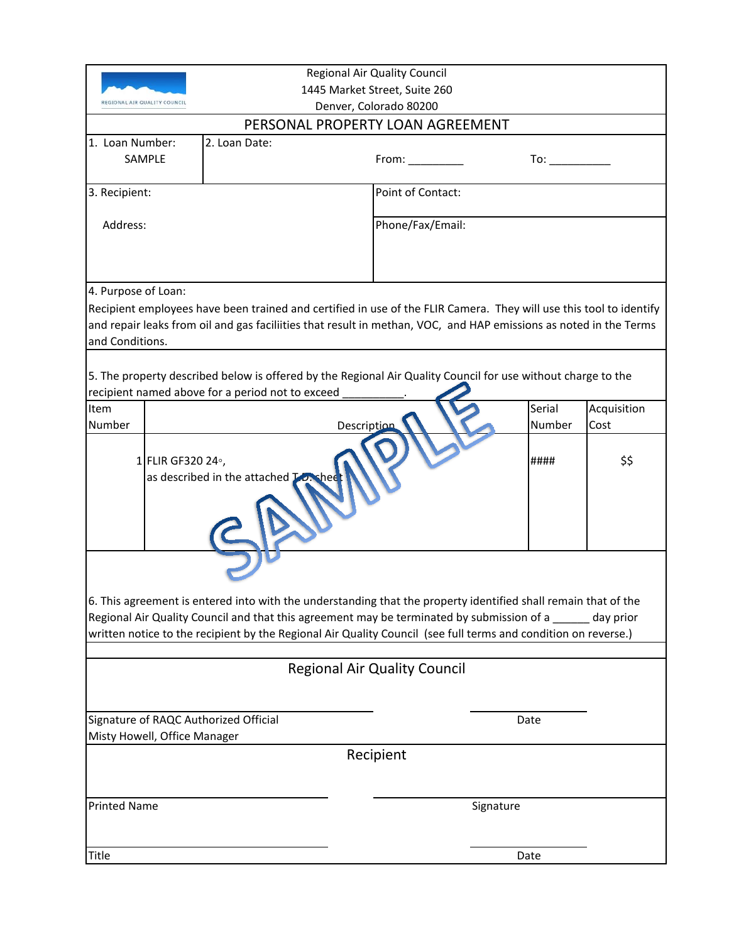| <b>Regional Air Quality Council</b>                                                                            |                                                                                                                    |                                     |                                                                                                                                                                                                                                |             |  |
|----------------------------------------------------------------------------------------------------------------|--------------------------------------------------------------------------------------------------------------------|-------------------------------------|--------------------------------------------------------------------------------------------------------------------------------------------------------------------------------------------------------------------------------|-------------|--|
| 1445 Market Street, Suite 260                                                                                  |                                                                                                                    |                                     |                                                                                                                                                                                                                                |             |  |
| REGIONAL AIR QUALITY COUNCI                                                                                    |                                                                                                                    | Denver, Colorado 80200              |                                                                                                                                                                                                                                |             |  |
| PERSONAL PROPERTY LOAN AGREEMENT                                                                               |                                                                                                                    |                                     |                                                                                                                                                                                                                                |             |  |
| 1. Loan Number:                                                                                                | 2. Loan Date:                                                                                                      |                                     |                                                                                                                                                                                                                                |             |  |
| SAMPLE                                                                                                         |                                                                                                                    | From:                               | To: the contract of the contract of the contract of the contract of the contract of the contract of the contract of the contract of the contract of the contract of the contract of the contract of the contract of the contra |             |  |
|                                                                                                                |                                                                                                                    |                                     |                                                                                                                                                                                                                                |             |  |
| 3. Recipient:                                                                                                  |                                                                                                                    | Point of Contact:                   |                                                                                                                                                                                                                                |             |  |
|                                                                                                                |                                                                                                                    |                                     |                                                                                                                                                                                                                                |             |  |
| Address:                                                                                                       |                                                                                                                    | Phone/Fax/Email:                    |                                                                                                                                                                                                                                |             |  |
|                                                                                                                |                                                                                                                    |                                     |                                                                                                                                                                                                                                |             |  |
|                                                                                                                |                                                                                                                    |                                     |                                                                                                                                                                                                                                |             |  |
| 4. Purpose of Loan:                                                                                            |                                                                                                                    |                                     |                                                                                                                                                                                                                                |             |  |
|                                                                                                                | Recipient employees have been trained and certified in use of the FLIR Camera. They will use this tool to identify |                                     |                                                                                                                                                                                                                                |             |  |
|                                                                                                                | and repair leaks from oil and gas faciliities that result in methan, VOC, and HAP emissions as noted in the Terms  |                                     |                                                                                                                                                                                                                                |             |  |
| and Conditions.                                                                                                |                                                                                                                    |                                     |                                                                                                                                                                                                                                |             |  |
|                                                                                                                |                                                                                                                    |                                     |                                                                                                                                                                                                                                |             |  |
|                                                                                                                | 5. The property described below is offered by the Regional Air Quality Council for use without charge to the       |                                     |                                                                                                                                                                                                                                |             |  |
|                                                                                                                | recipient named above for a period not to exceed                                                                   |                                     |                                                                                                                                                                                                                                |             |  |
| Item                                                                                                           |                                                                                                                    |                                     | Serial                                                                                                                                                                                                                         | Acquisition |  |
| Number                                                                                                         |                                                                                                                    | Description                         | Number                                                                                                                                                                                                                         | Cost        |  |
|                                                                                                                |                                                                                                                    |                                     |                                                                                                                                                                                                                                |             |  |
| 1 FLIR GF320 24°,                                                                                              |                                                                                                                    |                                     | ####                                                                                                                                                                                                                           | \$\$        |  |
|                                                                                                                | as described in the attached LD. shee                                                                              |                                     |                                                                                                                                                                                                                                |             |  |
|                                                                                                                |                                                                                                                    |                                     |                                                                                                                                                                                                                                |             |  |
|                                                                                                                |                                                                                                                    |                                     |                                                                                                                                                                                                                                |             |  |
|                                                                                                                |                                                                                                                    |                                     |                                                                                                                                                                                                                                |             |  |
|                                                                                                                |                                                                                                                    |                                     |                                                                                                                                                                                                                                |             |  |
|                                                                                                                |                                                                                                                    |                                     |                                                                                                                                                                                                                                |             |  |
|                                                                                                                |                                                                                                                    |                                     |                                                                                                                                                                                                                                |             |  |
| 6. This agreement is entered into with the understanding that the property identified shall remain that of the |                                                                                                                    |                                     |                                                                                                                                                                                                                                |             |  |
| Regional Air Quality Council and that this agreement may be terminated by submission of a<br>day prior         |                                                                                                                    |                                     |                                                                                                                                                                                                                                |             |  |
| written notice to the recipient by the Regional Air Quality Council (see full terms and condition on reverse.) |                                                                                                                    |                                     |                                                                                                                                                                                                                                |             |  |
|                                                                                                                |                                                                                                                    |                                     |                                                                                                                                                                                                                                |             |  |
|                                                                                                                |                                                                                                                    | <b>Regional Air Quality Council</b> |                                                                                                                                                                                                                                |             |  |
|                                                                                                                |                                                                                                                    |                                     |                                                                                                                                                                                                                                |             |  |
|                                                                                                                |                                                                                                                    |                                     |                                                                                                                                                                                                                                |             |  |
| Signature of RAQC Authorized Official                                                                          |                                                                                                                    |                                     | Date                                                                                                                                                                                                                           |             |  |
| Misty Howell, Office Manager                                                                                   |                                                                                                                    |                                     |                                                                                                                                                                                                                                |             |  |
|                                                                                                                |                                                                                                                    | Recipient                           |                                                                                                                                                                                                                                |             |  |
|                                                                                                                |                                                                                                                    |                                     |                                                                                                                                                                                                                                |             |  |
|                                                                                                                |                                                                                                                    |                                     |                                                                                                                                                                                                                                |             |  |
| <b>Printed Name</b>                                                                                            |                                                                                                                    | Signature                           |                                                                                                                                                                                                                                |             |  |
|                                                                                                                |                                                                                                                    |                                     |                                                                                                                                                                                                                                |             |  |
|                                                                                                                |                                                                                                                    |                                     |                                                                                                                                                                                                                                |             |  |
| Title                                                                                                          |                                                                                                                    |                                     | Date                                                                                                                                                                                                                           |             |  |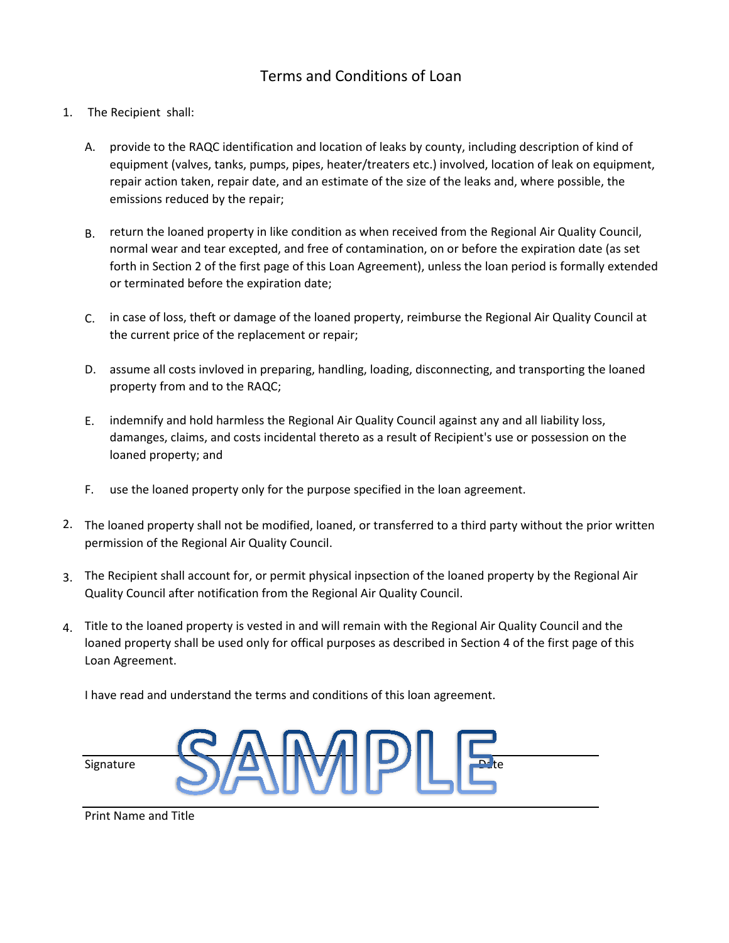## Terms and Conditions of Loan

- 1. The Recipient shall:
	- A. provide to the RAQC identification and location of leaks by county, including description of kind of equipment (valves, tanks, pumps, pipes, heater/treaters etc.) involved, location of leak on equipment, repair action taken, repair date, and an estimate of the size of the leaks and, where possible, the emissions reduced by the repair;
	- B. return the loaned property in like condition as when received from the Regional Air Quality Council, normal wear and tear excepted, and free of contamination, on or before the expiration date (as set forth in Section 2 of the first page of this Loan Agreement), unless the loan period is formally extended or terminated before the expiration date;
	- C. in case of loss, theft or damage of the loaned property, reimburse the Regional Air Quality Council at the current price of the replacement or repair;
	- D. assume all costs invloved in preparing, handling, loading, disconnecting, and transporting the loaned property from and to the RAQC;
	- E. indemnify and hold harmless the Regional Air Quality Council against any and all liability loss, damanges, claims, and costs incidental thereto as a result of Recipient's use or possession on the loaned property; and
	- F. use the loaned property only for the purpose specified in the loan agreement.
- 2. The loaned property shall not be modified, loaned, or transferred to a third party without the prior written permission of the Regional Air Quality Council.
- 3. The Recipient shall account for, or permit physical inpsection of the loaned property by the Regional Air Quality Council after notification from the Regional Air Quality Council.
- 4. Title to the loaned property is vested in and will remain with the Regional Air Quality Council and the loaned property shall be used only for offical purposes as described in Section 4 of the first page of this Loan Agreement.

I have read and understand the terms and conditions of this loan agreement.



Print Name and Title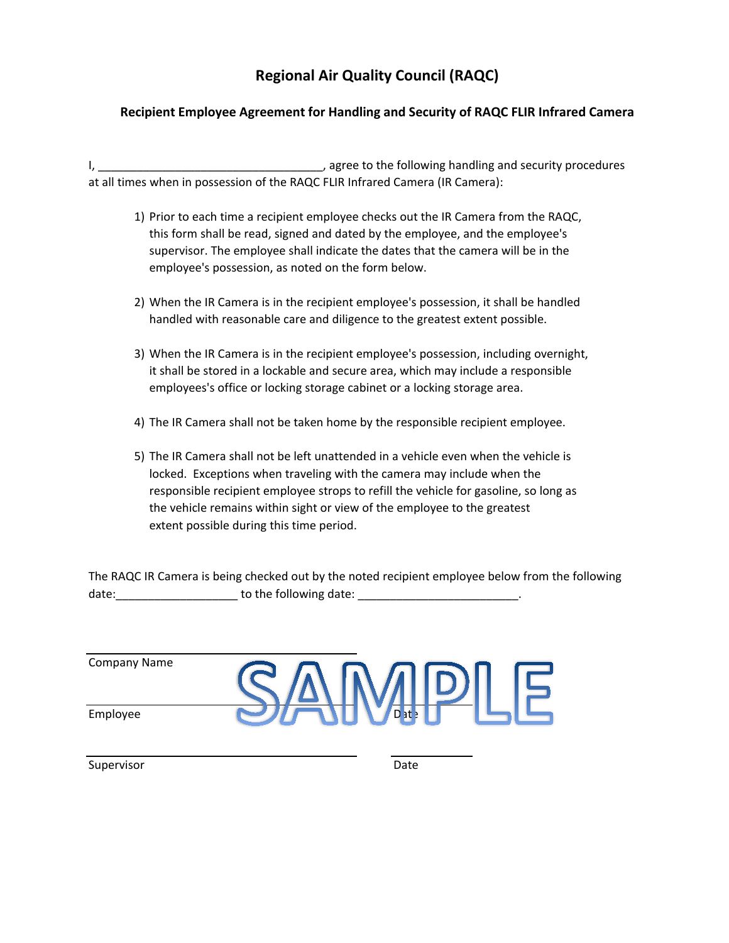# **Regional Air Quality Council (RAQC)**

#### **Recipient Employee Agreement for Handling and Security of RAQC FLIR Infrared Camera**

I, \_\_\_\_\_\_\_\_\_\_\_\_\_\_\_\_\_\_\_\_\_\_\_\_\_\_\_\_\_\_\_\_\_\_\_, agree to the following handling and security procedures at all times when in possession of the RAQC FLIR Infrared Camera (IR Camera):

- 1) Prior to each time a recipient employee checks out the IR Camera from the RAQC, this form shall be read, signed and dated by the employee, and the employee's supervisor. The employee shall indicate the dates that the camera will be in the employee's possession, as noted on the form below.
- 2) When the IR Camera is in the recipient employee's possession, it shall be handled handled with reasonable care and diligence to the greatest extent possible.
- 3) When the IR Camera is in the recipient employee's possession, including overnight, it shall be stored in a lockable and secure area, which may include a responsible employees's office or locking storage cabinet or a locking storage area.
- 4) The IR Camera shall not be taken home by the responsible recipient employee.
- 5) The IR Camera shall not be left unattended in a vehicle even when the vehicle is locked. Exceptions when traveling with the camera may include when the responsible recipient employee strops to refill the vehicle for gasoline, so long as the vehicle remains within sight or view of the employee to the greatest extent possible during this time period.

The RAQC IR Camera is being checked out by the noted recipient employee below from the following date: example a to the following date:  $\Box$ 

| <b>Company Name</b> |  |
|---------------------|--|
| Employee            |  |

Supervisor **Date**